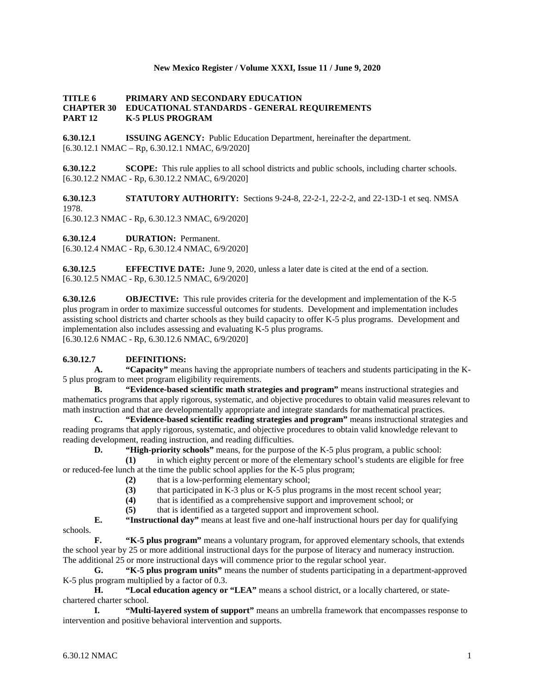### **New Mexico Register / Volume XXXI, Issue 11 / June 9, 2020**

#### **TITLE 6 PRIMARY AND SECONDARY EDUCATION CHAPTER 30 EDUCATIONAL STANDARDS - GENERAL REQUIREMENTS PART 12 K-5 PLUS PROGRAM**

**6.30.12.1 ISSUING AGENCY:** Public Education Department, hereinafter the department.  $[6.30.12.1 \text{ NMAC} - \text{Rp}, 6.30.12.1 \text{ NMAC}, 6/9/2020]$ 

**6.30.12.2 SCOPE:** This rule applies to all school districts and public schools, including charter schools. [6.30.12.2 NMAC - Rp, 6.30.12.2 NMAC, 6/9/2020]

**6.30.12.3 STATUTORY AUTHORITY:** Sections 9-24-8, 22-2-1, 22-2-2, and 22-13D-1 et seq. NMSA 1978.

[6.30.12.3 NMAC - Rp, 6.30.12.3 NMAC, 6/9/2020]

**6.30.12.4 DURATION:** Permanent.

[6.30.12.4 NMAC - Rp, 6.30.12.4 NMAC, 6/9/2020]

**6.30.12.5 EFFECTIVE DATE:** June 9, 2020, unless a later date is cited at the end of a section. [6.30.12.5 NMAC - Rp, 6.30.12.5 NMAC, 6/9/2020]

**6.30.12.6 OBJECTIVE:** This rule provides criteria for the development and implementation of the K-5 plus program in order to maximize successful outcomes for students. Development and implementation includes assisting school districts and charter schools as they build capacity to offer K-5 plus programs. Development and implementation also includes assessing and evaluating K-5 plus programs. [6.30.12.6 NMAC - Rp, 6.30.12.6 NMAC, 6/9/2020]

### **6.30.12.7 DEFINITIONS:**

**A. "Capacity"** means having the appropriate numbers of teachers and students participating in the K-5 plus program to meet program eligibility requirements.

**B. "Evidence-based scientific math strategies and program"** means instructional strategies and mathematics programs that apply rigorous, systematic, and objective procedures to obtain valid measures relevant to math instruction and that are developmentally appropriate and integrate standards for mathematical practices.

**C. "Evidence-based scientific reading strategies and program"** means instructional strategies and reading programs that apply rigorous, systematic, and objective procedures to obtain valid knowledge relevant to reading development, reading instruction, and reading difficulties.

**D. "High-priority schools"** means, for the purpose of the K-5 plus program, a public school:

**(1)** in which eighty percent or more of the elementary school's students are eligible for free or reduced-fee lunch at the time the public school applies for the K-5 plus program;

- **(2)** that is a low-performing elementary school;
- (3) that participated in K-3 plus or K-5 plus programs in the most recent school year;<br>(4) that is identified as a comprehensive support and improvement school; or
- **(4)** that is identified as a comprehensive support and improvement school; or

**(5)** that is identified as a targeted support and improvement school.

**E. "Instructional day"** means at least five and one-half instructional hours per day for qualifying

schools.

**F. "K-5 plus program"** means a voluntary program, for approved elementary schools, that extends the school year by 25 or more additional instructional days for the purpose of literacy and numeracy instruction. The additional 25 or more instructional days will commence prior to the regular school year.

**G. "K-5 plus program units"** means the number of students participating in a department-approved K-5 plus program multiplied by a factor of 0.3.

**H. "Local education agency or "LEA"** means a school district, or a locally chartered, or statechartered charter school.

**I. "Multi-layered system of support"** means an umbrella framework that encompasses response to intervention and positive behavioral intervention and supports.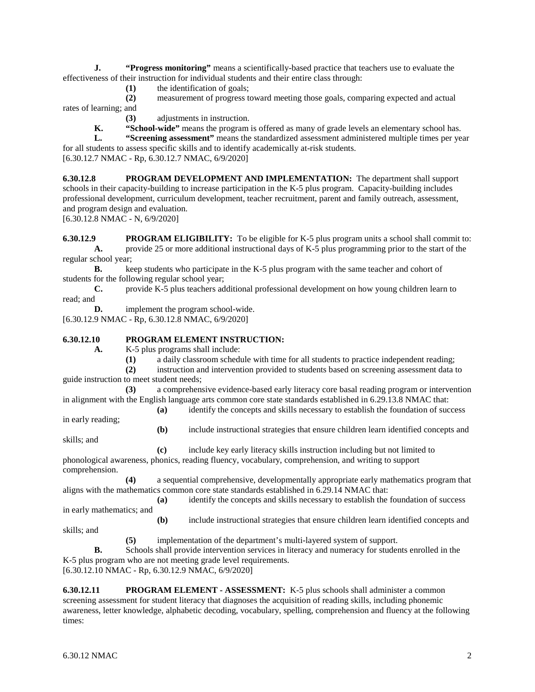**J. "Progress monitoring"** means a scientifically-based practice that teachers use to evaluate the effectiveness of their instruction for individual students and their entire class through:

**(1)** the identification of goals;

**(2)** measurement of progress toward meeting those goals, comparing expected and actual rates of learning; and

- **(3)** adjustments in instruction.
- **K. "School-wide"** means the program is offered as many of grade levels an elementary school has.

**L. "Screening assessment"** means the standardized assessment administered multiple times per year for all students to assess specific skills and to identify academically at-risk students. [6.30.12.7 NMAC - Rp, 6.30.12.7 NMAC, 6/9/2020]

**6.30.12.8 PROGRAM DEVELOPMENT AND IMPLEMENTATION:** The department shall support schools in their capacity-building to increase participation in the K-5 plus program. Capacity-building includes professional development, curriculum development, teacher recruitment, parent and family outreach, assessment, and program design and evaluation.

[6.30.12.8 NMAC - N, 6/9/2020]

**6.30.12.9 PROGRAM ELIGIBILITY:** To be eligible for K-5 plus program units a school shall commit to: **A.** provide 25 or more additional instructional days of K-5 plus programming prior to the start of the regular school year;

**B.** keep students who participate in the K-5 plus program with the same teacher and cohort of students for the following regular school year;

**C.** provide K-5 plus teachers additional professional development on how young children learn to read; and

**D.** implement the program school-wide.

[6.30.12.9 NMAC - Rp, 6.30.12.8 NMAC, 6/9/2020]

### **6.30.12.10 PROGRAM ELEMENT INSTRUCTION:**

**A.** K-5 plus programs shall include:

**(1)** a daily classroom schedule with time for all students to practice independent reading;

**(2)** instruction and intervention provided to students based on screening assessment data to guide instruction to meet student needs;

**(3)** a comprehensive evidence-based early literacy core basal reading program or intervention in alignment with the English language arts common core state standards established in 6.29.13.8 NMAC that:

**(a)** identify the concepts and skills necessary to establish the foundation of success

in early reading;

**(b)** include instructional strategies that ensure children learn identified concepts and

skills; and

**(c)** include key early literacy skills instruction including but not limited to phonological awareness, phonics, reading fluency, vocabulary, comprehension, and writing to support comprehension.

**(4)** a sequential comprehensive, developmentally appropriate early mathematics program that aligns with the mathematics common core state standards established in 6.29.14 NMAC that:

**(a)** identify the concepts and skills necessary to establish the foundation of success in early mathematics; and

**(b)** include instructional strategies that ensure children learn identified concepts and skills; and

**(5)** implementation of the department's multi-layered system of support.

**B.** Schools shall provide intervention services in literacy and numeracy for students enrolled in the K-5 plus program who are not meeting grade level requirements. [6.30.12.10 NMAC - Rp, 6.30.12.9 NMAC, 6/9/2020]

**6.30.12.11 PROGRAM ELEMENT - ASSESSMENT:** K-5 plus schools shall administer a common screening assessment for student literacy that diagnoses the acquisition of reading skills, including phonemic awareness, letter knowledge, alphabetic decoding, vocabulary, spelling, comprehension and fluency at the following times: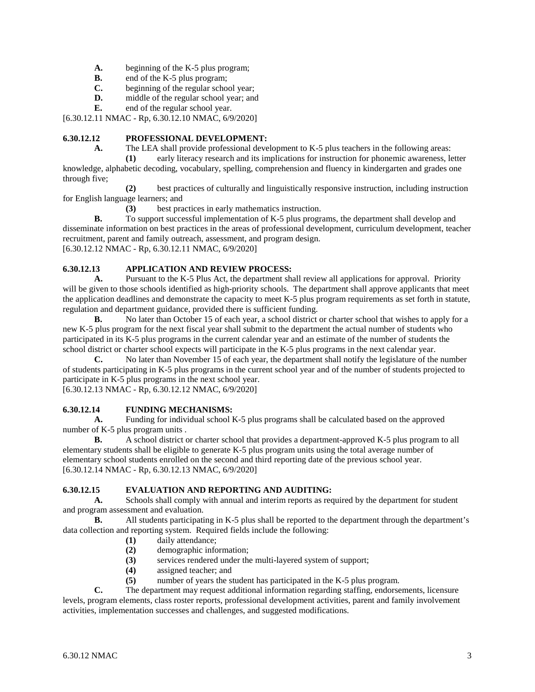- **A.** beginning of the K-5 plus program;<br>**B.** end of the K-5 plus program;
- **B.** end of the K-5 plus program;<br>**C.** beginning of the regular school
- beginning of the regular school year;
- **D.** middle of the regular school year; and
- **E.** end of the regular school year.

[6.30.12.11 NMAC - Rp, 6.30.12.10 NMAC, 6/9/2020]

## **6.30.12.12 PROFESSIONAL DEVELOPMENT:**

**A.** The LEA shall provide professional development to K-5 plus teachers in the following areas:

**(1)** early literacy research and its implications for instruction for phonemic awareness, letter knowledge, alphabetic decoding, vocabulary, spelling, comprehension and fluency in kindergarten and grades one through five;

**(2)** best practices of culturally and linguistically responsive instruction, including instruction for English language learners; and

**(3)** best practices in early mathematics instruction.

**B.** To support successful implementation of K-5 plus programs, the department shall develop and disseminate information on best practices in the areas of professional development, curriculum development, teacher recruitment, parent and family outreach, assessment, and program design. [6.30.12.12 NMAC - Rp, 6.30.12.11 NMAC, 6/9/2020]

# **6.30.12.13 APPLICATION AND REVIEW PROCESS:**

**A.** Pursuant to the K-5 Plus Act, the department shall review all applications for approval. Priority will be given to those schools identified as high-priority schools. The department shall approve applicants that meet the application deadlines and demonstrate the capacity to meet K-5 plus program requirements as set forth in statute, regulation and department guidance, provided there is sufficient funding.

**B.** No later than October 15 of each year, a school district or charter school that wishes to apply for a new K-5 plus program for the next fiscal year shall submit to the department the actual number of students who participated in its K-5 plus programs in the current calendar year and an estimate of the number of students the school district or charter school expects will participate in the K-5 plus programs in the next calendar year.

**C.** No later than November 15 of each year, the department shall notify the legislature of the number of students participating in K-5 plus programs in the current school year and of the number of students projected to participate in K-5 plus programs in the next school year.

[6.30.12.13 NMAC - Rp, 6.30.12.12 NMAC, 6/9/2020]

# **6.30.12.14 FUNDING MECHANISMS:**

**A.** Funding for individual school K-5 plus programs shall be calculated based on the approved number of K-5 plus program units .

**B.** A school district or charter school that provides a department-approved K-5 plus program to all elementary students shall be eligible to generate K-5 plus program units using the total average number of elementary school students enrolled on the second and third reporting date of the previous school year. [6.30.12.14 NMAC - Rp, 6.30.12.13 NMAC, 6/9/2020]

# **6.30.12.15 EVALUATION AND REPORTING AND AUDITING:**

**A.** Schools shall comply with annual and interim reports as required by the department for student and program assessment and evaluation.

**B.** All students participating in K-5 plus shall be reported to the department through the department's data collection and reporting system. Required fields include the following:

- **(1)** daily attendance;
- **(2)** demographic information;
- **(3)** services rendered under the multi-layered system of support;
- **(4)** assigned teacher; and
- **(5)** number of years the student has participated in the K-5 plus program.

**C.** The department may request additional information regarding staffing, endorsements, licensure levels, program elements, class roster reports, professional development activities, parent and family involvement activities, implementation successes and challenges, and suggested modifications.